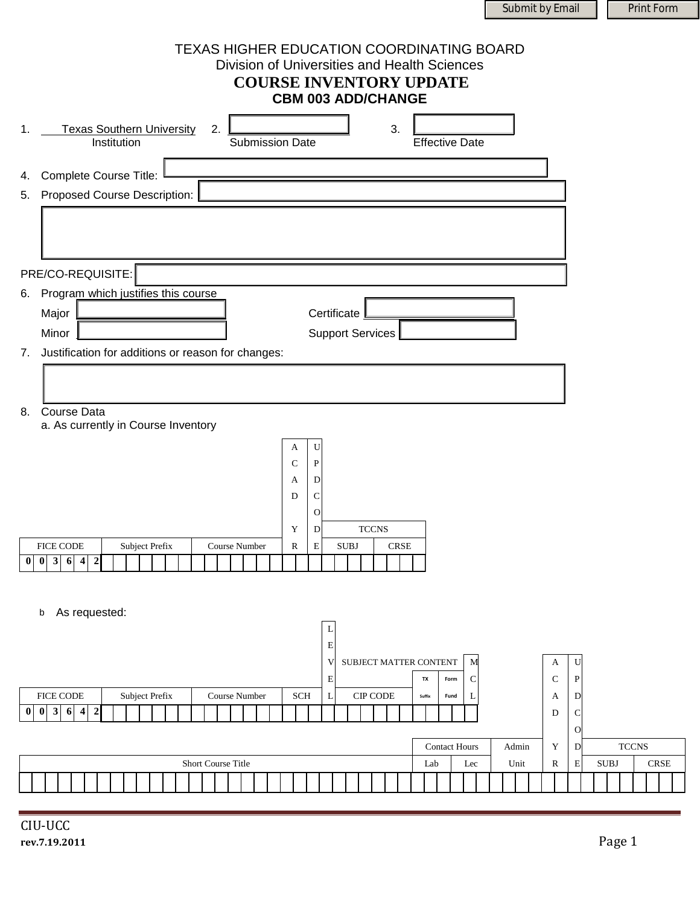Submit by Email Print Form

| <b>TEXAS HIGHER EDUCATION COORDINATING BOARD</b><br>Division of Universities and Health Sciences<br><b>COURSE INVENTORY UPDATE</b><br><b>CBM 003 ADD/CHANGE</b>                                                                                                                                                                                                     |                                                                                                         |
|---------------------------------------------------------------------------------------------------------------------------------------------------------------------------------------------------------------------------------------------------------------------------------------------------------------------------------------------------------------------|---------------------------------------------------------------------------------------------------------|
| <b>Texas Southern University</b><br>3.<br>1.<br>2.<br>Institution<br><b>Submission Date</b><br><b>Effective Date</b>                                                                                                                                                                                                                                                |                                                                                                         |
| 4. Complete Course Title:<br>5. Proposed Course Description:                                                                                                                                                                                                                                                                                                        |                                                                                                         |
| PRE/CO-REQUISITE:<br>6. Program which justifies this course<br>Major<br>Certificate                                                                                                                                                                                                                                                                                 |                                                                                                         |
| <b>Support Services</b><br>Minor<br>Justification for additions or reason for changes:<br>7.                                                                                                                                                                                                                                                                        |                                                                                                         |
| Course Data<br>8.<br>a. As currently in Course Inventory<br>U<br>A<br>$\mathsf{C}$<br>P<br>D<br>A<br>D<br>C<br>$\overline{O}$<br><b>TCCNS</b><br>Y<br>D<br>${\bf R}$<br>${\bf E}$<br>$\rm SUBJ$<br><b>CRSE</b><br><b>FICE CODE</b><br>Subject Prefix<br>Course Number<br>$\mathbf{3}$<br>$\pmb{0}$<br>6<br>$\overline{\mathbf{4}}$<br>$\boldsymbol{2}$<br>$\pmb{0}$ |                                                                                                         |
| As requested:<br>b<br>L<br>Е<br>SUBJECT MATTER CONTENT<br>M<br>V<br>A<br>$\mathbf C$<br>Е<br>C<br>TX<br>Form                                                                                                                                                                                                                                                        | U<br>$\mathbf P$                                                                                        |
| FICE CODE<br>Subject Prefix<br>Course Number<br>CIP CODE<br><b>SCH</b><br>L<br>A<br>Suffix<br>L<br>Fund<br>$3\overline{6}$<br>$\overline{\mathbf{4}}$<br>$\bf{0}$<br>$\boldsymbol{0}$<br>$\boldsymbol{2}$<br>${\rm D}$<br>$\mathbf Y$<br><b>Contact Hours</b><br>Admin<br>Short Course Title<br>Unit<br>${\bf R}$<br>Lab<br>Lec                                     | $\mathbf D$<br>$\mathbf C$<br>$\circ$<br><b>TCCNS</b><br>$\mathbf D$<br><b>CRSE</b><br>E<br><b>SUBJ</b> |
| CIU-UCC<br>rev.7.19.2011                                                                                                                                                                                                                                                                                                                                            | Page 1                                                                                                  |